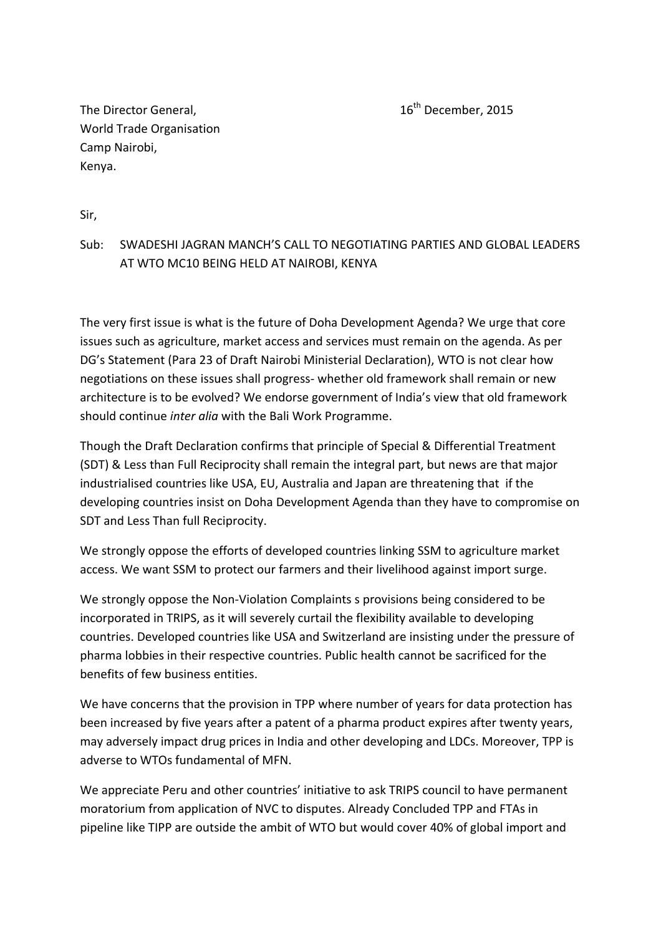The Director General,  $16<sup>th</sup>$  December, 2015 World Trade Organisation Camp Nairobi, Kenya.

Sir,

## Sub: SWADESHI JAGRAN MANCH'S CALL TO NEGOTIATING PARTIES AND GLOBAL LEADERS AT WTO MC10 BEING HELD AT NAIROBI, KENYA

The very first issue is what is the future of Doha Development Agenda? We urge that core issues such as agriculture, market access and services must remain on the agenda. As per DG's Statement (Para 23 of Draft Nairobi Ministerial Declaration), WTO is not clear how negotiations on these issues shall progress‐ whether old framework shall remain or new architecture is to be evolved? We endorse government of India's view that old framework should continue *inter alia* with the Bali Work Programme.

Though the Draft Declaration confirms that principle of Special & Differential Treatment (SDT) & Less than Full Reciprocity shall remain the integral part, but news are that major industrialised countries like USA, EU, Australia and Japan are threatening that if the developing countries insist on Doha Development Agenda than they have to compromise on SDT and Less Than full Reciprocity.

We strongly oppose the efforts of developed countries linking SSM to agriculture market access. We want SSM to protect our farmers and their livelihood against import surge.

We strongly oppose the Non‐Violation Complaints s provisions being considered to be incorporated in TRIPS, as it will severely curtail the flexibility available to developing countries. Developed countries like USA and Switzerland are insisting under the pressure of pharma lobbies in their respective countries. Public health cannot be sacrificed for the benefits of few business entities.

We have concerns that the provision in TPP where number of years for data protection has been increased by five years after a patent of a pharma product expires after twenty years, may adversely impact drug prices in India and other developing and LDCs. Moreover, TPP is adverse to WTOs fundamental of MFN.

We appreciate Peru and other countries' initiative to ask TRIPS council to have permanent moratorium from application of NVC to disputes. Already Concluded TPP and FTAs in pipeline like TIPP are outside the ambit of WTO but would cover 40% of global import and